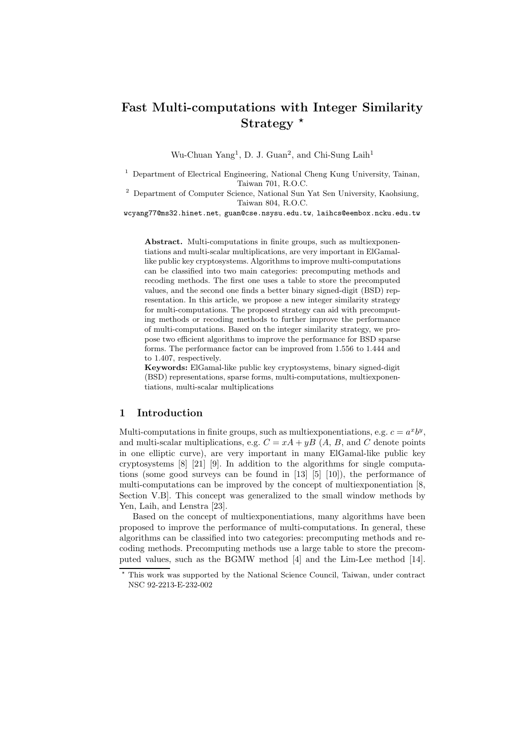# Fast Multi-computations with Integer Similarity Strategy  $*$

Wu-Chuan Yang<sup>1</sup>, D. J. Guan<sup>2</sup>, and Chi-Sung Laih<sup>1</sup>

<sup>1</sup> Department of Electrical Engineering, National Cheng Kung University, Tainan, Taiwan 701, R.O.C.

<sup>2</sup> Department of Computer Science, National Sun Yat Sen University, Kaohsiung, Taiwan 804, R.O.C.

wcyang77@ms32.hinet.net, guan@cse.nsysu.edu.tw, laihcs@eembox.ncku.edu.tw

Abstract. Multi-computations in finite groups, such as multiexponentiations and multi-scalar multiplications, are very important in ElGamallike public key cryptosystems. Algorithms to improve multi-computations can be classified into two main categories: precomputing methods and recoding methods. The first one uses a table to store the precomputed values, and the second one finds a better binary signed-digit (BSD) representation. In this article, we propose a new integer similarity strategy for multi-computations. The proposed strategy can aid with precomputing methods or recoding methods to further improve the performance of multi-computations. Based on the integer similarity strategy, we propose two efficient algorithms to improve the performance for BSD sparse forms. The performance factor can be improved from 1.556 to 1.444 and to 1.407, respectively.

Keywords: ElGamal-like public key cryptosystems, binary signed-digit (BSD) representations, sparse forms, multi-computations, multiexponentiations, multi-scalar multiplications

# 1 Introduction

Multi-computations in finite groups, such as multiexponentiations, e.g.  $c = a^x b^y$ , and multi-scalar multiplications, e.g.  $C = xA + yB(A, B, A)$  and C denote points in one elliptic curve), are very important in many ElGamal-like public key cryptosystems [8] [21] [9]. In addition to the algorithms for single computations (some good surveys can be found in  $[13]$   $[5]$   $[10]$ ), the performance of multi-computations can be improved by the concept of multiexponentiation [8, Section V.B]. This concept was generalized to the small window methods by Yen, Laih, and Lenstra [23].

Based on the concept of multiexponentiations, many algorithms have been proposed to improve the performance of multi-computations. In general, these algorithms can be classified into two categories: precomputing methods and recoding methods. Precomputing methods use a large table to store the precomputed values, such as the BGMW method [4] and the Lim-Lee method [14].

<sup>?</sup> This work was supported by the National Science Council, Taiwan, under contract NSC 92-2213-E-232-002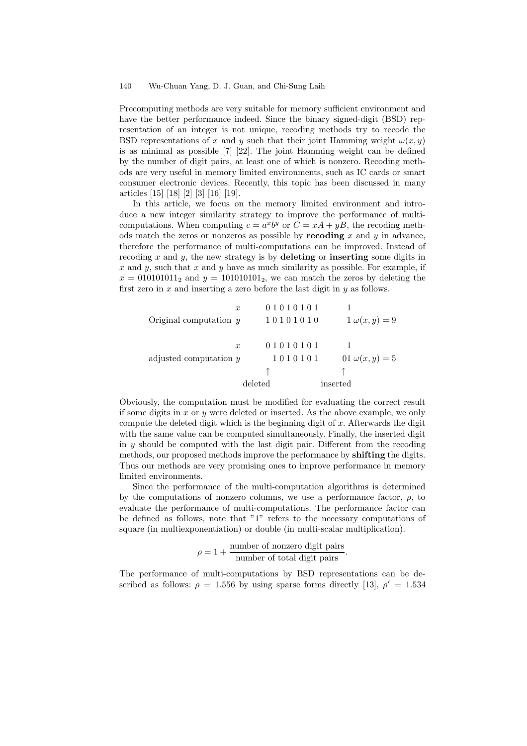Precomputing methods are very suitable for memory sufficient environment and have the better performance indeed. Since the binary signed-digit (BSD) representation of an integer is not unique, recoding methods try to recode the BSD representations of x and y such that their joint Hamming weight  $\omega(x, y)$ is as minimal as possible [7] [22]. The joint Hamming weight can be defined by the number of digit pairs, at least one of which is nonzero. Recoding methods are very useful in memory limited environments, such as IC cards or smart consumer electronic devices. Recently, this topic has been discussed in many articles [15] [18] [2] [3] [16] [19].

In this article, we focus on the memory limited environment and introduce a new integer similarity strategy to improve the performance of multicomputations. When computing  $c = a^x b^y$  or  $C = xA + yB$ , the recoding methods match the zeros or nonzeros as possible by **recoding** x and y in advance, therefore the performance of multi-computations can be improved. Instead of recoding  $x$  and  $y$ , the new strategy is by deleting or inserting some digits in x and y, such that x and y have as much similarity as possible. For example, if  $x = 010101011_2$  and  $y = 101010101_2$ , we can match the zeros by deleting the first zero in  $x$  and inserting a zero before the last digit in  $y$  as follows.

$$
x = 01010101
$$
  
Original computation y = 10101010  
1  $\omega(x, y) = 9$   
 $x = 01010101$   
1  
adjusted computation y = 1010101  
1  
1010101  
1  
01  $\omega(x, y) = 5$   
 $\uparrow$   
deleted = inserted

Obviously, the computation must be modified for evaluating the correct result if some digits in x or y were deleted or inserted. As the above example, we only compute the deleted digit which is the beginning digit of  $x$ . Afterwards the digit with the same value can be computed simultaneously. Finally, the inserted digit in  $y$  should be computed with the last digit pair. Different from the recoding methods, our proposed methods improve the performance by **shifting** the digits. Thus our methods are very promising ones to improve performance in memory limited environments.

Since the performance of the multi-computation algorithms is determined by the computations of nonzero columns, we use a performance factor,  $\rho$ , to evaluate the performance of multi-computations. The performance factor can be defined as follows, note that "1" refers to the necessary computations of square (in multiexponentiation) or double (in multi-scalar multiplication).

> $\rho = 1 + \frac{\text{number of nonzero digit pairs}}{1 - \frac{\rho + 1}{2}}$ number of total digit pairs.

The performance of multi-computations by BSD representations can be described as follows:  $\rho = 1.556$  by using sparse forms directly [13],  $\rho' = 1.534$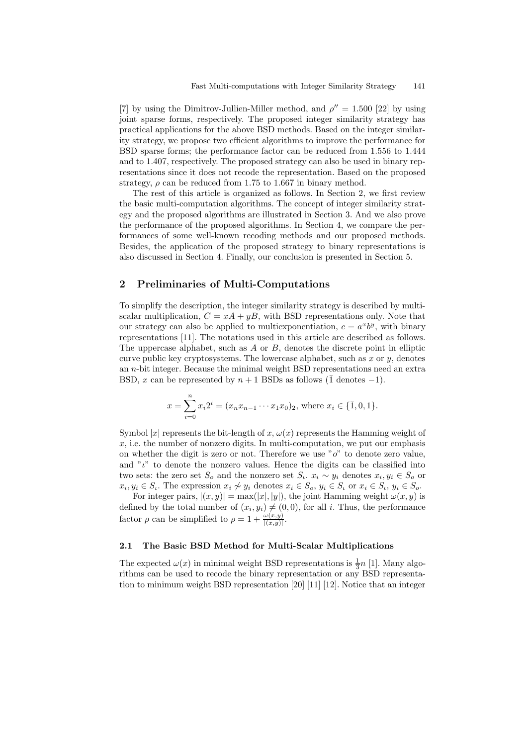[7] by using the Dimitrov-Jullien-Miller method, and  $\rho'' = 1.500$  [22] by using joint sparse forms, respectively. The proposed integer similarity strategy has practical applications for the above BSD methods. Based on the integer similarity strategy, we propose two efficient algorithms to improve the performance for BSD sparse forms; the performance factor can be reduced from 1.556 to 1.444 and to 1.407, respectively. The proposed strategy can also be used in binary representations since it does not recode the representation. Based on the proposed strategy,  $\rho$  can be reduced from 1.75 to 1.667 in binary method.

The rest of this article is organized as follows. In Section 2, we first review the basic multi-computation algorithms. The concept of integer similarity strategy and the proposed algorithms are illustrated in Section 3. And we also prove the performance of the proposed algorithms. In Section 4, we compare the performances of some well-known recoding methods and our proposed methods. Besides, the application of the proposed strategy to binary representations is also discussed in Section 4. Finally, our conclusion is presented in Section 5.

#### 2 Preliminaries of Multi-Computations

To simplify the description, the integer similarity strategy is described by multiscalar multiplication,  $C = xA + yB$ , with BSD representations only. Note that our strategy can also be applied to multiexponentiation,  $c = a^x b^y$ , with binary representations [11]. The notations used in this article are described as follows. The uppercase alphabet, such as  $A$  or  $B$ , denotes the discrete point in elliptic curve public key cryptosystems. The lowercase alphabet, such as  $x$  or  $y$ , denotes an n-bit integer. Because the minimal weight BSD representations need an extra BSD, x can be represented by  $n + 1$  BSDs as follows (1 denotes  $-1$ ).

$$
x = \sum_{i=0}^{n} x_i 2^i = (x_n x_{n-1} \cdots x_1 x_0)_2
$$
, where  $x_i \in \{\overline{1}, 0, 1\}$ .

Symbol |x| represents the bit-length of x,  $\omega(x)$  represents the Hamming weight of  $x$ , i.e. the number of nonzero digits. In multi-computation, we put our emphasis on whether the digit is zero or not. Therefore we use " $o$ " to denote zero value, and " $\iota$ " to denote the nonzero values. Hence the digits can be classified into two sets: the zero set  $S_o$  and the nonzero set  $S_i$ .  $x_i \sim y_i$  denotes  $x_i, y_i \in S_o$  or  $x_i, y_i \in S_i$ . The expression  $x_i \not\sim y_i$  denotes  $x_i \in S_o$ ,  $y_i \in S_i$  or  $x_i \in S_i$ ,  $y_i \in S_o$ .

For integer pairs,  $|(x, y)| = \max(|x|, |y|)$ , the joint Hamming weight  $\omega(x, y)$  is defined by the total number of  $(x_i, y_i) \neq (0, 0)$ , for all i. Thus, the performance factor  $\rho$  can be simplified to  $\rho = 1 + \frac{\omega(x, y)}{|\langle x, y \rangle|}$  $\frac{\omega(x,y)}{|(x,y)|}$ .

#### 2.1 The Basic BSD Method for Multi-Scalar Multiplications

The expected  $\omega(x)$  in minimal weight BSD representations is  $\frac{1}{3}n$  [1]. Many algorithms can be used to recode the binary representation or any BSD representation to minimum weight BSD representation [20] [11] [12]. Notice that an integer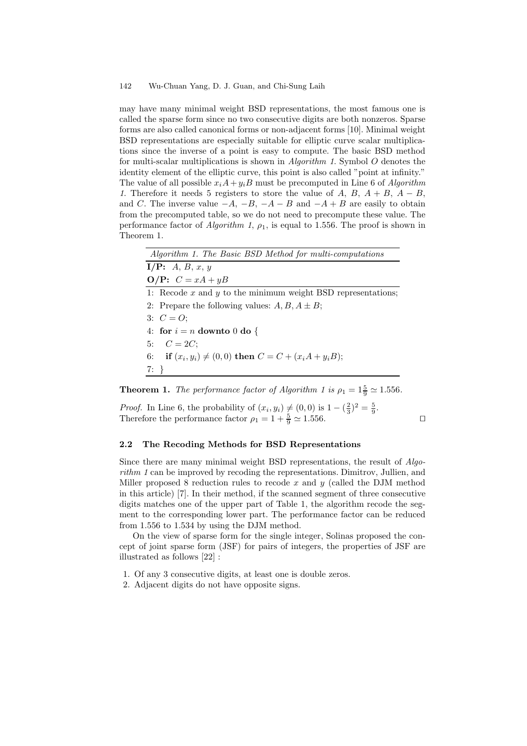may have many minimal weight BSD representations, the most famous one is called the sparse form since no two consecutive digits are both nonzeros. Sparse forms are also called canonical forms or non-adjacent forms [10]. Minimal weight BSD representations are especially suitable for elliptic curve scalar multiplications since the inverse of a point is easy to compute. The basic BSD method for multi-scalar multiplications is shown in  $Algorithm\ 1$ . Symbol O denotes the identity element of the elliptic curve, this point is also called "point at infinity." The value of all possible  $x_iA + y_iB$  must be precomputed in Line 6 of *Algorithm* 1. Therefore it needs 5 registers to store the value of A, B,  $A + B$ ,  $A - B$ , and C. The inverse value  $-A$ ,  $-B$ ,  $-A - B$  and  $-A + B$  are easily to obtain from the precomputed table, so we do not need to precompute these value. The performance factor of *Algorithm 1,*  $\rho_1$ , is equal to 1.556. The proof is shown in Theorem 1.

| Algorithm 1. The Basic BSD Method for multi-computations         |
|------------------------------------------------------------------|
| I/P: A, B, x, y                                                  |
| <b>O/P:</b> $C = xA + yB$                                        |
| 1: Recode $x$ and $y$ to the minimum weight BSD representations; |
| 2: Prepare the following values: $A, B, A \pm B$ ;               |
| 3: $C = O$ ;                                                     |
| 4: for $i = n$ downto 0 do {                                     |
| 5: $C = 2C$                                                      |
| 6: if $(x_i, y_i) \neq (0, 0)$ then $C = C + (x_i A + y_i B)$ ;  |
| $7: \}$                                                          |
|                                                                  |

**Theorem 1.** The performance factor of Algorithm 1 is  $\rho_1 = 1\frac{5}{9} \approx 1.556$ .

*Proof.* In Line 6, the probability of  $(x_i, y_i) \neq (0, 0)$  is  $1 - (\frac{2}{3})^2 = \frac{5}{9}$ . Therefore the performance factor  $\rho_1 = 1 + \frac{5}{9} \approx 1.556$ .

#### 2.2 The Recoding Methods for BSD Representations

Since there are many minimal weight BSD representations, the result of Algorithm 1 can be improved by recoding the representations. Dimitrov, Jullien, and Miller proposed 8 reduction rules to recode x and  $y$  (called the DJM method in this article) [7]. In their method, if the scanned segment of three consecutive digits matches one of the upper part of Table 1, the algorithm recode the segment to the corresponding lower part. The performance factor can be reduced from 1.556 to 1.534 by using the DJM method.

On the view of sparse form for the single integer, Solinas proposed the concept of joint sparse form (JSF) for pairs of integers, the properties of JSF are illustrated as follows [22] :

- 1. Of any 3 consecutive digits, at least one is double zeros.
- 2. Adjacent digits do not have opposite signs.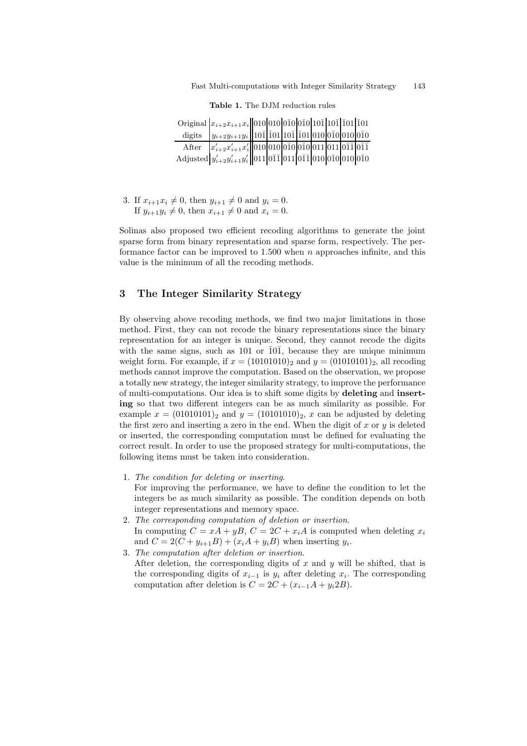|        | Original $ x_{i+2}x_{i+1}x_i  010 010 0\bar{1}0 0\bar{1}0 10\bar{1} 10\bar{1} \bar{1}01 \bar{1}01$                                          |  |  |  |  |
|--------|---------------------------------------------------------------------------------------------------------------------------------------------|--|--|--|--|
| digits | $ y_{i+2}y_{i+1}y_i $ 101 101 101 101 010 010 010 010 010                                                                                   |  |  |  |  |
| After  | $x'_{i+2}x'_{i+1}x'_i$ 010 010 010 010 011 011 011 011                                                                                      |  |  |  |  |
|        | Adjusted $y'_{i+2}y'_{i+1}y'_i$   011   0 $\bar{1}\bar{1}$   011   0 $\bar{1}\bar{1}$   010   0 $\bar{1}0$   0 $10$   0 $\bar{1}0$   0 $10$ |  |  |  |  |

Table 1. The DJM reduction rules

3. If  $x_{i+1}x_i \neq 0$ , then  $y_{i+1} \neq 0$  and  $y_i = 0$ . If  $y_{i+1}y_i \neq 0$ , then  $x_{i+1} \neq 0$  and  $x_i = 0$ .

Solinas also proposed two efficient recoding algorithms to generate the joint sparse form from binary representation and sparse form, respectively. The performance factor can be improved to  $1.500$  when n approaches infinite, and this value is the minimum of all the recoding methods.

# 3 The Integer Similarity Strategy

By observing above recoding methods, we find two major limitations in those method. First, they can not recode the binary representations since the binary representation for an integer is unique. Second, they cannot recode the digits with the same signs, such as  $101$  or  $\overline{101}$ , because they are unique minimum weight form. For example, if  $x = (10101010)_2$  and  $y = (01010101)_2$ , all recoding methods cannot improve the computation. Based on the observation, we propose a totally new strategy, the integer similarity strategy, to improve the performance of multi-computations. Our idea is to shift some digits by deleting and inserting so that two different integers can be as much similarity as possible. For example  $x = (01010101)_2$  and  $y = (10101010)_2$ , x can be adjusted by deleting the first zero and inserting a zero in the end. When the digit of x or  $y$  is deleted or inserted, the corresponding computation must be defined for evaluating the correct result. In order to use the proposed strategy for multi-computations, the following items must be taken into consideration.

- 1. The condition for deleting or inserting. For improving the performance, we have to define the condition to let the integers be as much similarity as possible. The condition depends on both integer representations and memory space.
- 2. The corresponding computation of deletion or insertion. In computing  $C = xA + yB$ ,  $C = 2C + x_iA$  is computed when deleting  $x_i$ and  $C = 2(C + y_{i+1}B) + (x_iA + y_iB)$  when inserting  $y_i$ .
- 3. The computation after deletion or insertion. After deletion, the corresponding digits of x and y will be shifted, that is the corresponding digits of  $x_{i-1}$  is  $y_i$  after deleting  $x_i$ . The corresponding computation after deletion is  $C = 2C + (x_{i-1}A + y_i2B)$ .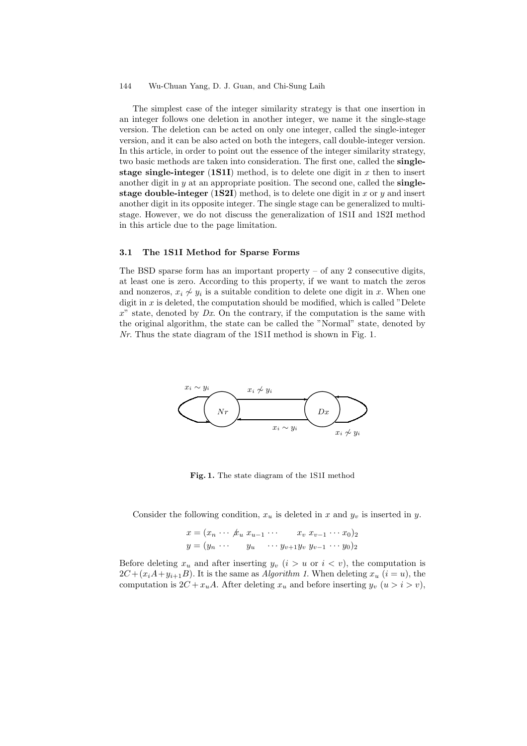The simplest case of the integer similarity strategy is that one insertion in an integer follows one deletion in another integer, we name it the single-stage version. The deletion can be acted on only one integer, called the single-integer version, and it can be also acted on both the integers, call double-integer version. In this article, in order to point out the essence of the integer similarity strategy, two basic methods are taken into consideration. The first one, called the singlestage single-integer  $(1S1I)$  method, is to delete one digit in x then to insert another digit in  $y$  at an appropriate position. The second one, called the **single**stage double-integer (1S2I) method, is to delete one digit in x or  $y$  and insert another digit in its opposite integer. The single stage can be generalized to multistage. However, we do not discuss the generalization of 1S1I and 1S2I method in this article due to the page limitation.

#### 3.1 The 1S1I Method for Sparse Forms

The BSD sparse form has an important property  $-$  of any 2 consecutive digits, at least one is zero. According to this property, if we want to match the zeros and nonzeros,  $x_i \not\sim y_i$  is a suitable condition to delete one digit in x. When one digit in  $x$  is deleted, the computation should be modified, which is called "Delete  $x^{\prime\prime}$  state, denoted by  $Dx$ . On the contrary, if the computation is the same with the original algorithm, the state can be called the "Normal" state, denoted by Nr. Thus the state diagram of the 1S1I method is shown in Fig. 1.



Fig. 1. The state diagram of the 1S1I method

Consider the following condition,  $x_u$  is deleted in x and  $y_v$  is inserted in y.

$$
x = (x_n \cdots \cancel{k_u} x_{u-1} \cdots x_v x_{v-1} \cdots x_0)_2
$$
  

$$
y = (y_n \cdots y_u \cdots y_{v+1} y_v y_{v-1} \cdots y_0)_2
$$

Before deleting  $x_u$  and after inserting  $y_v$   $(i > u \text{ or } i < v)$ , the computation is  $2C + (x_iA + y_{i+1}B)$ . It is the same as *Algorithm 1*. When deleting  $x_u$   $(i = u)$ , the computation is  $2C + x_u A$ . After deleting  $x_u$  and before inserting  $y_v$   $(u > i > v)$ ,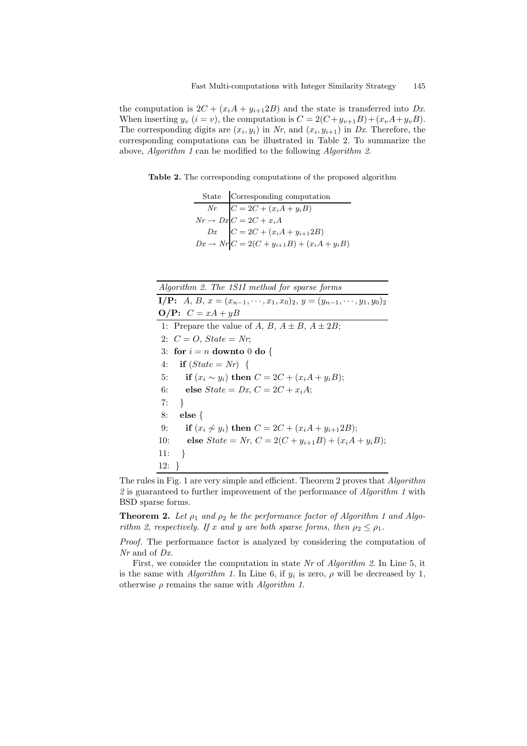the computation is  $2C + (x_iA + y_{i+1}2B)$  and the state is transferred into Dx. When inserting  $y_v$   $(i = v)$ , the computation is  $C = 2(C + y_{v+1}B) + (x_vA + y_vB)$ . The corresponding digits are  $(x_i, y_i)$  in Nr, and  $(x_i, y_{i+1})$  in Dx. Therefore, the corresponding computations can be illustrated in Table 2. To summarize the above, Algorithm 1 can be modified to the following Algorithm 2.

Table 2. The corresponding computations of the proposed algorithm

|  | State Corresponding computation                                                                                                                                                     |
|--|-------------------------------------------------------------------------------------------------------------------------------------------------------------------------------------|
|  |                                                                                                                                                                                     |
|  |                                                                                                                                                                                     |
|  |                                                                                                                                                                                     |
|  | $\begin{array}{l} Nr \quad C=2C+(x_iA+y_iB)\\ Nr \rightarrow Dx \quad C=2C+x_iA\\ Dx \quad C=2C+(x_iA+y_{i+1}2B)\\ Dx \rightarrow Nr \quad C=2(C+y_{i+1}B)+(x_iA+y_iB) \end{array}$ |

| Algorithm 2. The 1S1I method for sparse forms                                             |
|-------------------------------------------------------------------------------------------|
| <b>I/P:</b> A, B, $x = (x_{n-1}, \dots, x_1, x_0)_2$ , $y = (y_{n-1}, \dots, y_1, y_0)_2$ |
| $\mathbf{O/P:}$ $C = xA + yB$                                                             |
| 1: Prepare the value of A, B, $A \pm B$ , $A \pm 2B$ ;                                    |
| 2: $C = O$ , $State = Nr$ ;                                                               |
| 3: for $i = n$ downto 0 do {                                                              |
| if $(State = Nr)$<br>4:                                                                   |
| if $(x_i \sim y_i)$ then $C = 2C + (x_iA + y_iB);$<br>5:                                  |
| 6: else $State = Dx$ , $C = 2C + x_i A$ ;                                                 |
| 7:<br>$\rightarrow$                                                                       |
| 8:<br>$else \{$                                                                           |
| if $(x_i \nsim y_i)$ then $C = 2C + (x_iA + y_{i+1}2B)$ ;<br>9:                           |
| else $State = Nr, C = 2(C + y_{i+1}B) + (x_iA + y_iB);$<br>10:                            |
| 11:<br>$\rightarrow$                                                                      |
| $12: \; \; \}$                                                                            |

The rules in Fig. 1 are very simple and efficient. Theorem 2 proves that Algorithm  $2$  is guaranteed to further improvement of the performance of Algorithm 1 with BSD sparse forms.

**Theorem 2.** Let  $\rho_1$  and  $\rho_2$  be the performance factor of Algorithm 1 and Algorithm 2, respectively. If x and y are both sparse forms, then  $\rho_2 \leq \rho_1$ .

Proof. The performance factor is analyzed by considering the computation of Nr and of Dx.

First, we consider the computation in state Nr of Algorithm 2. In Line 5, it is the same with *Algorithm 1*. In Line 6, if  $y_i$  is zero,  $\rho$  will be decreased by 1, otherwise  $\rho$  remains the same with *Algorithm 1*.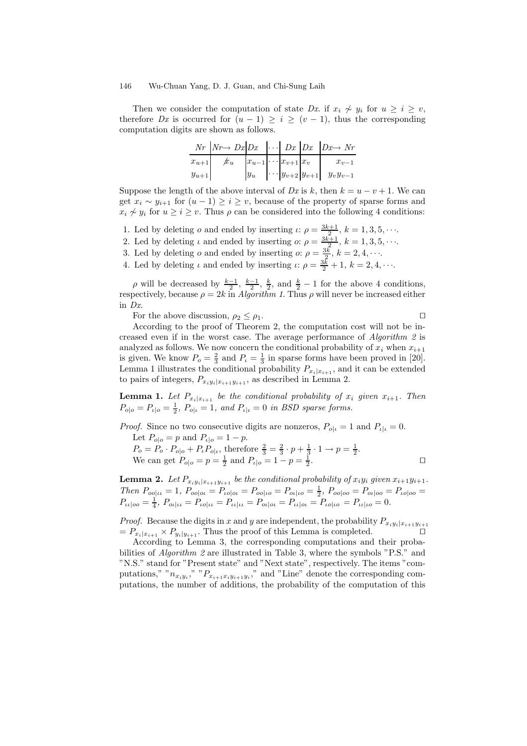Then we consider the computation of state Dx. if  $x_i \nsim y_i$  for  $u \geq i \geq v$ , therefore Dx is occurred for  $(u - 1) \ge i \ge (v - 1)$ , thus the corresponding computation digits are shown as follows.

|           |                |                                    |  | $Nr$ $\vert Nr \rightarrow Dx \vert Dx \vert \cdot \cdot \cdot \vert Dx \vert Dx \vert Dx \rightarrow Nr$ |
|-----------|----------------|------------------------------------|--|-----------------------------------------------------------------------------------------------------------|
| $x_{u+1}$ | $\rlap{/} x_u$ | $ x_{u-1}  \cdots  x_{v+1}   x_v $ |  | $x_{v-1}$                                                                                                 |
| $y_{u+1}$ |                |                                    |  | $ y_u $ $\cdots$ $ y_{v+2} y_{v+1} $ $y_vy_{v-1}$                                                         |

Suppose the length of the above interval of Dx is k, then  $k = u - v + 1$ . We can get  $x_i \sim y_{i+1}$  for  $(u-1) \geq i \geq v$ , because of the property of sparse forms and  $x_i \nsim y_i$  for  $u > i > v$ . Thus  $\rho$  can be considered into the following 4 conditions:

- 1. Led by deleting *o* and ended by inserting  $\iota: \rho = \frac{3k+1}{2}, k = 1, 3, 5, \cdots$ .
- 2. Led by deleting  $\iota$  and ended by inserting  $\iota: \rho = \frac{3k+1}{2}, k = 1, 3, 5, \cdots$ .
- 3. Led by deleting *o* and ended by inserting *o*:  $\rho = \frac{3k}{2}$ ,  $k = 2, 4, \cdots$ .
- 4. Led by deleting  $\iota$  and ended by inserting  $\iota$ :  $\rho = \frac{3k}{2} + 1$ ,  $k = 2, 4, \cdots$ .

 $\rho$  will be decreased by  $\frac{k-1}{2}, \frac{k-1}{2}, \frac{k}{2}$ , and  $\frac{k}{2} - 1$  for the above 4 conditions, respectively, because  $\rho = 2k$  in Algorithm 1. Thus  $\rho$  will never be increased either in Dx.

For the above discussion,  $\rho_2 \leq \rho_1$ .

According to the proof of Theorem 2, the computation cost will not be increased even if in the worst case. The average performance of Algorithm 2 is analyzed as follows. We now concern the conditional probability of  $x_i$  when  $x_{i+1}$ is given. We know  $P_o = \frac{2}{3}$  and  $P_i = \frac{1}{3}$  in sparse forms have been proved in [20]. Lemma 1 illustrates the conditional probability  $P_{x_i|x_{i+1}}$ , and it can be extended to pairs of integers,  $P_{x_iy_i|x_{i+1}y_{i+1}}$ , as described in Lemma 2.

**Lemma 1.** Let  $P_{x_i|x_{i+1}}$  be the conditional probability of  $x_i$  given  $x_{i+1}$ . Then  $P_{o|o} = P_{u|o} = \frac{1}{2}$ ,  $P_{o|u} = 1$ , and  $P_{u|u} = 0$  in BSD sparse forms.

*Proof.* Since no two consecutive digits are nonzeros,  $P_{o|\iota} = 1$  and  $P_{\iota|\iota} = 0$ . Let  $P_{\text{obs}} = p$  and  $P_{\text{obs}} = 1 - p$ 

$$
P_o = P_o \cdot P_{o|o} + P_t P_{o|t}, \text{ therefore } \frac{2}{3} = \frac{2}{3} \cdot p + \frac{1}{3} \cdot 1 \to p = \frac{1}{2}.
$$
  
We can get  $P_{o|o} = p = \frac{1}{2}$  and  $P_{t|o} = 1 - p = \frac{1}{2}$ .

**Lemma 2.** Let  $P_{x_iy_i|x_{i+1}y_{i+1}}$  be the conditional probability of  $x_iy_i$  given  $x_{i+1}y_{i+1}$ . Then  $P_{oo|\iota\iota} = 1$ ,  $P_{oo|\iota\iota} = P_{\iota o|\iota\iota} = P_{oo|\iota o} = P_{o\iota|\iota o} = \frac{1}{2}$ ,  $P_{oo|\iota o} = P_{o\iota|\iota o} = P_{\iota o|\iota o} =$  $P_{\iota\iota|oo} = \frac{1}{4}, P_{oi| \iota\iota} = P_{\iota o| \iota\iota} = P_{\iota\iota| \iota\iota} = P_{oi| \iota\iota} = P_{\iota\iota| \iota o} = P_{\iota\iota| \iota o} = P_{\iota\iota| \iota o} = 0.$ 

*Proof.* Because the digits in x and y are independent, the probability  $P_{x_iy_i|x_{i+1}y_{i+1}}$  $= P_{x_i|x_{i+1}} \times P_{y_i|y_{i+1}}$ . Thus the proof of this Lemma is completed.

According to Lemma 3, the corresponding computations and their probabilities of *Algorithm 2* are illustrated in Table 3, where the symbols "P.S." and "N.S." stand for "Present state" and "Next state", respectively. The items "computations," " $n_{x_iy_i}$ ," " $P_{x_{i+1}x_iy_{i+1}y_i}$ ," and "Line" denote the corresponding computations, the number of additions, the probability of the computation of this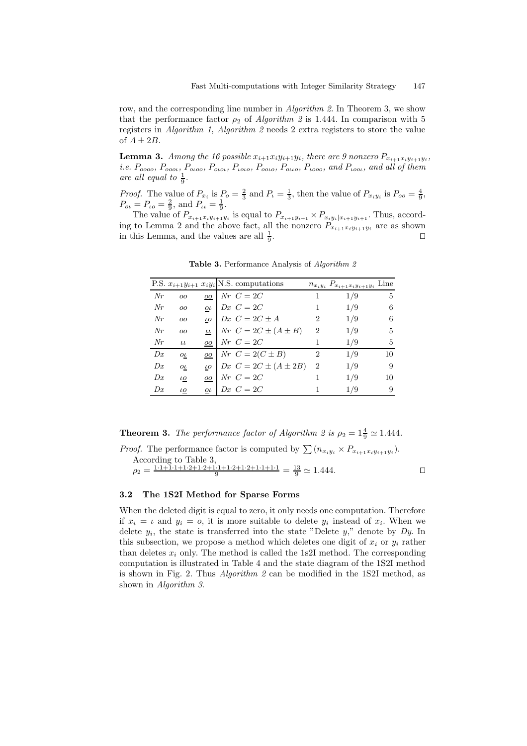row, and the corresponding line number in *Algorithm 2*. In Theorem 3, we show that the performance factor  $\rho_2$  of *Algorithm 2* is 1.444. In comparison with 5 registers in Algorithm 1, Algorithm 2 needs 2 extra registers to store the value of  $A \pm 2B$ .

**Lemma 3.** Among the 16 possible  $x_{i+1}x_iy_{i+1}y_i$ , there are 9 nonzero  $P_{x_{i+1}x_iy_{i+1}y_i}$ , i.e.  $P_{oooo}$ ,  $P_{ooot}$ ,  $P_{otoo}$ ,  $P_{ooot}$ ,  $P_{too}$ ,  $P_{ooot}$ ,  $P_{too}$ ,  $P_{tooo}$ , and  $P_{toot}$ , and all of them are all equal to  $\frac{1}{9}$ .

*Proof.* The value of  $P_{x_i}$  is  $P_o = \frac{2}{3}$  and  $P_i = \frac{1}{3}$ , then the value of  $P_{x_i y_i}$  is  $P_{oo} = \frac{4}{9}$ ,  $P_{\text{o}} = P_{\text{LO}} = \frac{2}{9}$ , and  $P_{\text{UL}} = \frac{1}{9}$ .

The value of  $P_{x_{i+1}x_iy_{i+1}y_i}$  is equal to  $P_{x_{i+1}y_{i+1}} \times P_{x_iy_i|x_{i+1}y_{i+1}}$ . Thus, according to Lemma 2 and the above fact, all the nonzero  $P_{x_{i+1}x_iy_{i+1}y_i}$  are as shown in this Lemma, and the values are all  $\frac{1}{9}$ . The contract of the contract of the contract of the contract of the contract of the contract of the contract of the contract of the contract of the contract of the contract of the contract of the contract of the contract

|    |               |                  | P.S. $x_{i+1}y_{i+1}$ $x_iy_i$ N.S. computations |                             | $n_{x_iy_i} P_{x_{i+1}x_iy_{i+1}y_i}$ Line |    |
|----|---------------|------------------|--------------------------------------------------|-----------------------------|--------------------------------------------|----|
| Nr | 00            | OO               | $Nr\ C=2C$                                       |                             | 1/9                                        | 5  |
| Nr | 00            | $_{o\iota}$      | $Dx \, C = 2C$                                   |                             | 1/9                                        | 6  |
| Nr | <sub>oo</sub> | $\iota$ o        | $Dx$ $C = 2C \pm A$                              | 2                           | 1/9                                        | 6  |
| Nr | <sub>oo</sub> | $\iota\iota$     | Nr $C = 2C \pm (A \pm B)$                        | $\mathcal{D}_{\mathcal{L}}$ | 1/9                                        | 5  |
| Nr | LL            | $\overline{00}$  | $Nr\ \ C=2C$                                     |                             | 1/9                                        | 5  |
| Dx | $_{o\iota}$   | $\underline{oo}$ | $Nr\ C=2(C\pm B)$                                | 2                           | 1/9                                        | 10 |
| Dx | $\sigma$      | $\iota$ o        | $Dx \ C = 2C \pm (A \pm 2B)$                     | $\overline{2}$              | 1/9                                        | 9  |
| Dx | $\iota$ o     | $\overline{O}O$  | $Nr\ C=2C$                                       |                             | 1/9                                        | 10 |
| Dx | $\iota$ o     | $_{o\iota}$      | $Dx \, C = 2C$                                   |                             | 1/9                                        | 9  |

Table 3. Performance Analysis of Algorithm 2

**Theorem 3.** The performance factor of Algorithm 2 is  $\rho_2 = 1\frac{4}{9} \approx 1.444$ .

*Proof.* The performance factor is computed by  $\sum (n_{x_iy_i} \times P_{x_{i+1}x_iy_{i+1}y_i}).$ According to Table 3,  $\rho_2 = \frac{1 \cdot 1 + 1 \cdot 1 + 1 \cdot 2 + 1 \cdot 2 + 1 \cdot 1 + 1 \cdot 2 + 1 \cdot 2 + 1 \cdot 1 + 1 \cdot 1}{9} = \frac{13}{9} \simeq 1.444.$ 

# 3.2 The 1S2I Method for Sparse Forms

When the deleted digit is equal to zero, it only needs one computation. Therefore if  $x_i = \iota$  and  $y_i = o$ , it is more suitable to delete  $y_i$  instead of  $x_i$ . When we delete  $y_i$ , the state is transferred into the state "Delete  $y$ ," denote by  $Dy$ . In this subsection, we propose a method which deletes one digit of  $x_i$  or  $y_i$  rather than deletes  $x_i$  only. The method is called the 1s2I method. The corresponding computation is illustrated in Table 4 and the state diagram of the 1S2I method is shown in Fig. 2. Thus *Algorithm 2* can be modified in the 1S2I method, as shown in Algorithm 3.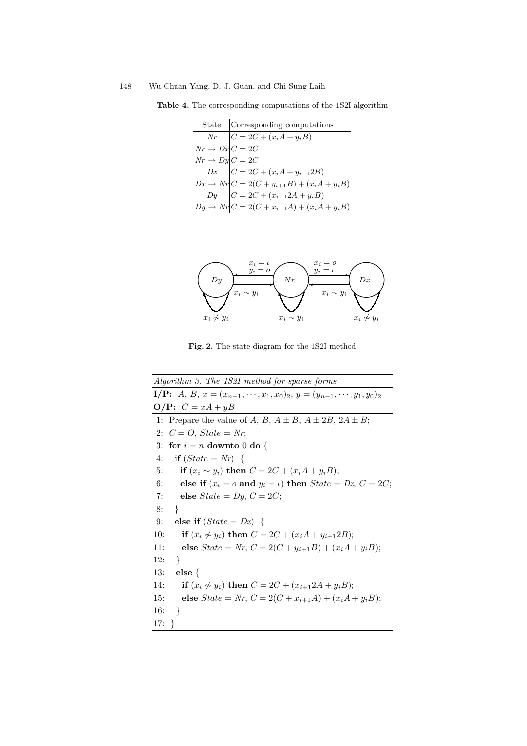Table 4. The corresponding computations of the 1S2I algorithm

State Corresponding computations  
\n
$$
Nr \quad C = 2C + (x_i A + y_i B)
$$
\n
$$
Nr \rightarrow Dx \quad C = 2C
$$
\n
$$
Nr \rightarrow Dy \quad C = 2C
$$
\n
$$
Dx \quad C = 2C + (x_i A + y_{i+1} 2B)
$$
\n
$$
Dx \rightarrow Nr \quad C = 2(C + y_{i+1} B) + (x_i A + y_i B)
$$
\n
$$
Dy \quad C = 2C + (x_{i+1} 2A + y_i B)
$$
\n
$$
Dy \rightarrow Nr \quad C = 2(C + x_{i+1} A) + (x_i A + y_i B)
$$



Fig. 2. The state diagram for the 1S2I method

Algorithm 3. The 1S2I method for sparse forms I/P: A, B,  $x = (x_{n-1}, \dots, x_1, x_0)_2$ ,  $y = (y_{n-1}, \dots, y_1, y_0)_2$  $O/P: C = xA + yB$ 1: Prepare the value of A, B,  $A \pm B$ ,  $A \pm 2B$ ,  $2A \pm B$ ; 2:  $C = O$ ,  $State = Nr$ ; 3: for  $i = n$  downto 0 do { 4: if  $(State = Nr)$  { 5: if  $(x_i \sim y_i)$  then  $C = 2C + (x_iA + y_iB);$ 6: else if  $(x_i = o \text{ and } y_i = \iota)$  then  $State = Dx, C = 2C$ ; 7: else  $State = Dy$ ,  $C = 2C$ ; 8: } 9: else if  $(State = Dx)$  { 10: **if**  $(x_i \nsim y_i)$  then  $C = 2C + (x_iA + y_{i+1}2B);$ 11: else  $State = Nr, C = 2(C + y_{i+1}B) + (x_iA + y_iB);$ 12: } 13: else { 14: **if**  $(x_i \nsim y_i)$  then  $C = 2C + (x_{i+1}2A + y_iB);$ 15: else  $State = Nr, C = 2(C + x_{i+1}A) + (x_iA + y_iB);$ 16: } 17: }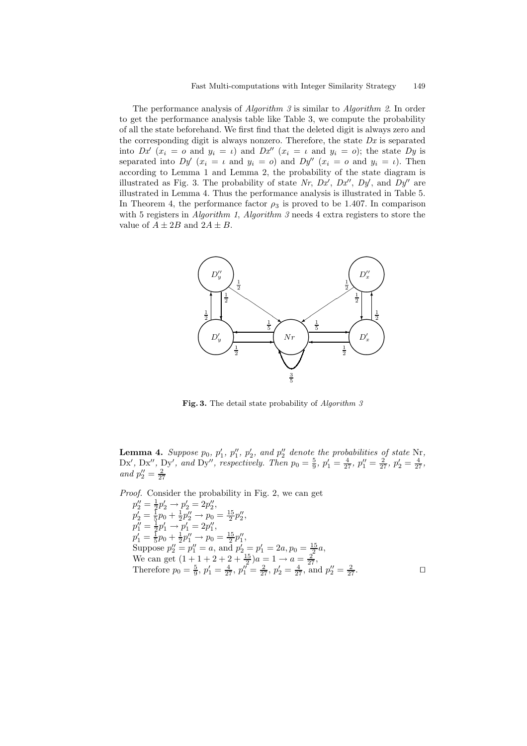The performance analysis of *Algorithm 3* is similar to *Algorithm 2*. In order to get the performance analysis table like Table 3, we compute the probability of all the state beforehand. We first find that the deleted digit is always zero and the corresponding digit is always nonzero. Therefore, the state  $Dx$  is separated into  $Dx^{\prime}(x_i = o \text{ and } y_i = \iota)$  and  $Dx^{\prime\prime}(x_i = \iota \text{ and } y_i = o)$ ; the state  $Dy$  is separated into  $Dy'(x_i = \iota$  and  $y_i = o)$  and  $Dy''(x_i = o$  and  $y_i = \iota)$ . Then according to Lemma 1 and Lemma 2, the probability of the state diagram is illustrated as Fig. 3. The probability of state Nr,  $Dx'$ ,  $Dx''$ ,  $Dy'$ , and  $Dy''$  are illustrated in Lemma 4. Thus the performance analysis is illustrated in Table 5. In Theorem 4, the performance factor  $\rho_3$  is proved to be 1.407. In comparison with 5 registers in *Algorithm 1, Algorithm 3* needs 4 extra registers to store the value of  $A \pm 2B$  and  $2A \pm B$ .



Fig. 3. The detail state probability of Algorithm  $3$ 

**Lemma 4.** Suppose  $p_0$ ,  $p'_1$ ,  $p''_1$ ,  $p'_2$ , and  $p''_2$  denote the probabilities of state Nr, Dx', Dx'', and Dy'', respectively. Then  $p_0 = \frac{5}{9}$ ,  $p'_1 = \frac{4}{27}$ ,  $p''_1 = \frac{2}{27}$ ,  $p'_2 = \frac{4}{27}$ , and  $p''_2 = \frac{2}{27}$ 

Proof. Consider the probability in Fig. 2, we can get  $p_2'' = \frac{1}{2}p_2' \rightarrow p_2' = 2p_2'',$  $p_2' = \frac{1}{5}p_0 + \frac{1}{2}p_2'' \rightarrow p_0 = \frac{15}{2}p_2'',$  $p_1'' = \frac{1}{2}p_1' \rightarrow p_1' = 2p_1'',$  $p'_1 = \frac{1}{5}p_0 + \frac{1}{2}p''_1 \rightarrow p_0 = \frac{15}{2}p''_1,$ Suppose  $p_2'' = p_1'' = a$ , and  $p_2' = p_1' = 2a$ ,  $p_0 = \frac{15}{2}a$ , We can get  $\left(1+\frac{1+2+2+\frac{15}{2}\right)a=1\rightarrow a=\frac{2}{27},$ Therefore  $p_0 = \frac{5}{9}$ ,  $p'_1 = \frac{4}{27}$ ,  $p''_1 = \frac{2}{27}$ ,  $p'_2 = \frac{4}{27}$ , and  $p''_2 = \frac{2}{27}$ .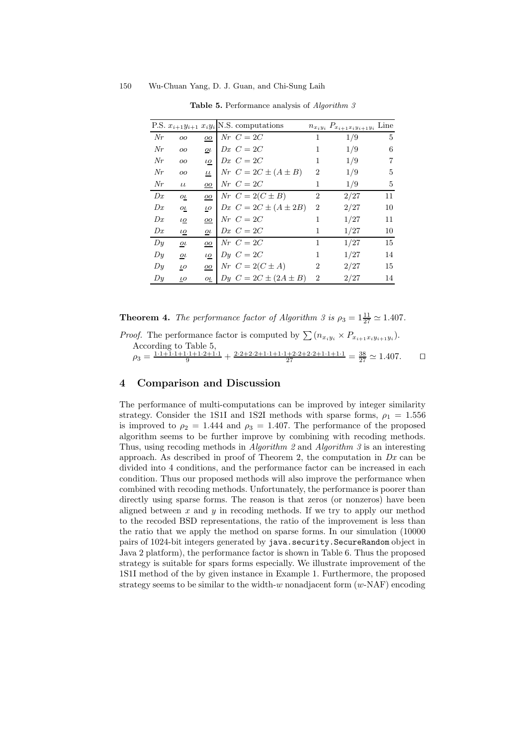|       |                     |                 | P.S. $x_{i+1}y_{i+1}$ $x_iy_i$ N.S. computations |                | $n_{x_iy_i} P_{x_{i+1}x_iy_{i+1}y_i}$ Line |    |
|-------|---------------------|-----------------|--------------------------------------------------|----------------|--------------------------------------------|----|
| Nr    | 00                  | OO              | $Nr\;C=2C$                                       | 1              | 1/9                                        | 5  |
| Nr    | 00                  | $_{o\iota}$     | $Dx \, C = 2C$                                   | 1              | 1/9                                        | 6  |
| Nr    | OQ                  | ιo              | $Dx \, C = 2C$                                   | 1              | 1/9                                        | 7  |
| Nr    | 00                  | $\iota\iota$    | Nr $C = 2C \pm (A \pm B)$                        | $\overline{2}$ | 1/9                                        | 5  |
| Nr    | $\iota\iota$        | oo              | $Nr\ \ C=2C$                                     | 1              | 1/9                                        | 5  |
| Dx    | $_{0L}$             | $\overline{00}$ | $Nr\ C=2(C\pm B)$                                | 2              | 2/27                                       | 11 |
| Dx    | $_{o\iota}$         | $\iota$ o       | Dx $C = 2C \pm (A \pm 2B)$                       | $\overline{2}$ | 2/27                                       | 10 |
| Dx    | ιo                  | $\overline{oo}$ | $Nr\ \ C=2C$                                     | 1              | 1/27                                       | 11 |
| Dx    | $\iota$ o           | $\sigma$        | $Dx \, C = 2C$                                   | 1              | 1/27                                       | 10 |
| D y   | $\overline{\omega}$ | 00              | $Nr\ \ C=2C$                                     | 1              | 1/27                                       | 15 |
| Dy    | $\sigma$            | ιo              | $D\mathbf{u}$ $C = 2C$                           | 1              | 1/27                                       | 14 |
| $D_y$ | $\iota$ o           | oo              | Nr $C = 2(C \pm A)$                              | 2              | 2/27                                       | 15 |
| Dy    | $\iota$ o           | $\sigma$        | Dy $C = 2C \pm (2A \pm B)$                       | 2              | 2/27                                       | 14 |

Table 5. Performance analysis of Algorithm 3

**Theorem 4.** The performance factor of Algorithm 3 is  $\rho_3 = 1\frac{11}{27} \approx 1.407$ .

| <i>Proof.</i> The performance factor is computed by $\sum (n_{x_iy_i} \times P_{x_{i+1}x_iy_{i+1}y_i}).$                                                                                                                 |  |
|--------------------------------------------------------------------------------------------------------------------------------------------------------------------------------------------------------------------------|--|
| According to Table 5,                                                                                                                                                                                                    |  |
| $\rho_3 = \frac{1 \cdot 1 + 1 \cdot 1 + 1 \cdot 1 + 1 \cdot 2 + 1 \cdot 1}{9} + \frac{2 \cdot 2 + 2 \cdot 2 + 1 \cdot 1 + 1 \cdot 1 + 2 \cdot 2 + 2 \cdot 2 + 1 \cdot 1 + 1 \cdot 1}{27} = \frac{38}{27} \approx 1.407.$ |  |

# 4 Comparison and Discussion

The performance of multi-computations can be improved by integer similarity strategy. Consider the 1S1I and 1S2I methods with sparse forms,  $\rho_1 = 1.556$ is improved to  $\rho_2 = 1.444$  and  $\rho_3 = 1.407$ . The performance of the proposed algorithm seems to be further improve by combining with recoding methods. Thus, using recoding methods in Algorithm 2 and Algorithm 3 is an interesting approach. As described in proof of Theorem 2, the computation in  $Dx$  can be divided into 4 conditions, and the performance factor can be increased in each condition. Thus our proposed methods will also improve the performance when combined with recoding methods. Unfortunately, the performance is poorer than directly using sparse forms. The reason is that zeros (or nonzeros) have been aligned between  $x$  and  $y$  in recoding methods. If we try to apply our method to the recoded BSD representations, the ratio of the improvement is less than the ratio that we apply the method on sparse forms. In our simulation (10000 pairs of 1024-bit integers generated by java.security.SecureRandom object in Java 2 platform), the performance factor is shown in Table 6. Thus the proposed strategy is suitable for spars forms especially. We illustrate improvement of the 1S1I method of the by given instance in Example 1. Furthermore, the proposed strategy seems to be similar to the width-w nonadjacent form  $(w\text{-}NAF)$  encoding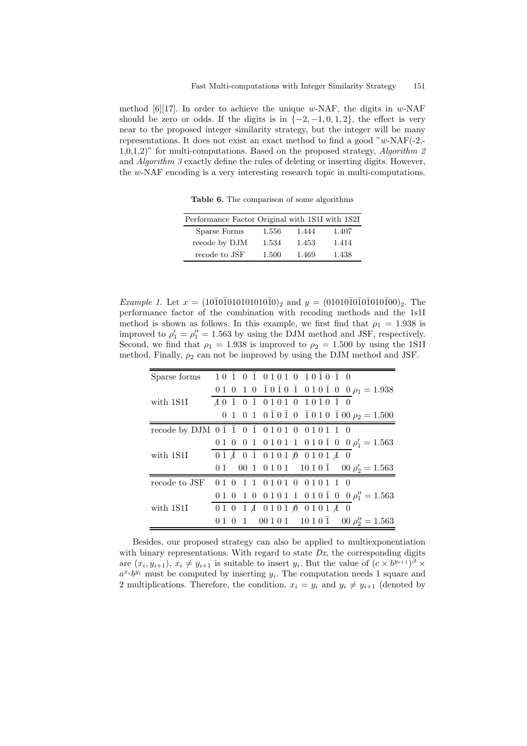method [6][17]. In order to achieve the unique w-NAF, the digits in w-NAF should be zero or odds. If the digits is in  $\{-2, -1, 0, 1, 2\}$ , the effect is very near to the proposed integer similarity strategy, but the integer will be many representations. It does not exist an exact method to find a good " $w$ -NAF(-2,- $1,0,1,2$ " for multi-computations. Based on the proposed strategy, Algorithm 2 and Algorithm 3 exactly define the rules of deleting or inserting digits. However, the w-NAF encoding is a very interesting research topic in multi-computations.

Table 6. The comparison of some algorithms

| Performance Factor Original with 1S1I with 1S2I |       |       |       |
|-------------------------------------------------|-------|-------|-------|
| Sparse Forms                                    | 1.556 | 1.444 | 1.407 |
| recode by DJM                                   | 1.534 | 1.453 | 1.414 |
| recode to JSF                                   | 1.500 | 1.469 | 1.438 |

*Example 1.* Let  $x = (10\overline{1}0\overline{1}010101010\overline{1}0)_2$  and  $y = (01010\overline{1}0\overline{1}010\overline{1}010\overline{1}00)_2$ . The performance factor of the combination with recoding methods and the 1s1I method is shown as follows. In this example, we first find that  $\rho_1 = 1.938$  is improved to  $\rho'_1 = \rho''_1 = 1.563$  by using the DJM method and JSF, respectively. Second, we find that  $\rho_1 = 1.938$  is improved to  $\rho_2 = 1.500$  by using the 1S1I method. Finally,  $\rho_2$  can not be improved by using the DJM method and JSF.

| Sparse forms | $10\ \overline{1}\ 0\ \overline{1}\ 01010\ 10\ \overline{1}\ 0\ \overline{1}\ 0$                    |
|--------------|-----------------------------------------------------------------------------------------------------|
|              | 0 1 0 1 0 $\bar{1}$ 0 $\bar{1}$ 0 $\bar{1}$ 0 $\bar{1}$ 0 1 0 $\bar{1}$ 0 $\theta$ $\rho_1 = 1.938$ |
| with 1S1I    | $A$ 0 $\bar{1}$ 0 $\bar{1}$ 0 1 0 1 0 1 0 $\bar{1}$ 0 $\bar{1}$ 0                                   |
|              | 0 1 0 1 0 $\bar{1}$ 0 $\bar{1}$ 0 $\bar{1}$ 0 $\bar{1}$ 0 1 0 $\bar{1}$ 00 $\rho_2 = 1.500$         |
|              | recode by DJM 0 1 1 0 1 0 1 0 1 0 0 1 0 1 1 0                                                       |
|              | 0 1 0 0 1 0 1 0 1 1 0 1 0 $\overline{0}$ 0 $\rho'_1 = 1.563$                                        |
| with 1S1I    | $0\bar{1} \bar{A} 0 \bar{1} 0101 \bar{A} 0101 A$                                                    |
|              | 0 1 0 1 0 1 0 1 1 1 0 1 0 $\overline{1}$ 0 $\rho'_2 = 1.563$                                        |
|              | recode to JSF 010111010100101110                                                                    |
|              | 0 1 0 1 0 0 1 0 1 1 0 1 0 $\overline{0}$ 1 0 $\overline{0}$ $\rho''_1$ = 1.563                      |
| with 1S1I    | 0 1 0 1 $\AA$ 0 1 0 1 $\AA$ 0 1 0 1 $\AA$ 0                                                         |
|              | 0 1 0 1 0 1 0 1 0 1 0 1 0 $\bar{1}$ 0 $\rho''_2 = 1.563$                                            |

Besides, our proposed strategy can also be applied to multiexponentiation with binary representations. With regard to state  $Dx$ , the corresponding digits are  $(x_i, y_{i+1}), x_i \neq y_{i+1}$  is suitable to insert  $y_i$ . But the value of  $(c \times b^{y_{i+1}})^{\beta} \times$  $a^{x_i}b^{y_i}$  must be computed by inserting  $y_i$ . The computation needs 1 square and 2 multiplications. Therefore, the condition,  $x_i = y_i$  and  $y_i \neq y_{i+1}$  (denoted by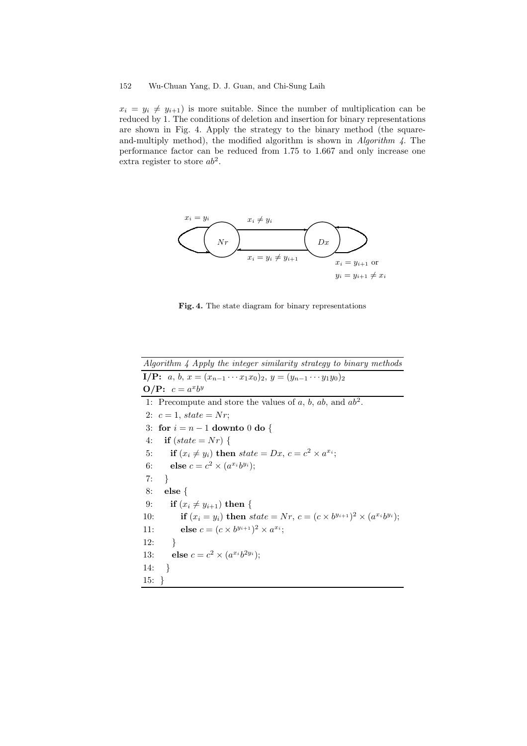$x_i = y_i \neq y_{i+1}$  is more suitable. Since the number of multiplication can be reduced by 1. The conditions of deletion and insertion for binary representations are shown in Fig. 4. Apply the strategy to the binary method (the squareand-multiply method), the modified algorithm is shown in Algorithm 4. The performance factor can be reduced from 1.75 to 1.667 and only increase one extra register to store  $ab^2$ .



Fig. 4. The state diagram for binary representations

| Algorithm 4 Apply the integer similarity strategy to binary methods                              |
|--------------------------------------------------------------------------------------------------|
| <b>I/P:</b> $a, b, x = (x_{n-1} \cdots x_1 x_0)_2, y = (y_{n-1} \cdots y_1 y_0)_2$               |
| $O/P: c = a^x b^y$                                                                               |
| 1: Precompute and store the values of a, b, ab, and $ab^2$ .                                     |
| 2: $c = 1$ , state = Nr;                                                                         |
| 3: for $i = n - 1$ downto 0 do {                                                                 |
| if $(state = Nr)$ {<br>4:                                                                        |
| if $(x_i \neq y_i)$ then state = Dx, $c = c^2 \times a^{x_i}$ ;<br>5:                            |
| else $c = c^2 \times (a^{x_i}b^{y_i});$<br>6:                                                    |
| 7:<br>$\rightarrow$                                                                              |
| 8:<br>$else\{$                                                                                   |
| if $(x_i \neq y_{i+1})$ then {<br>9:                                                             |
| if $(x_i = y_i)$ then $state = Nr, c = (c \times b^{y_{i+1}})^2 \times (a^{x_i}b^{y_i});$<br>10: |
| <b>else</b> $c = (c \times b^{y_{i+1}})^2 \times a^{x_i}$ ;<br>11:                               |
| }<br>12:                                                                                         |
| else $c = c^2 \times (a^{x_i}b^{2y_i})$ ;<br>13:                                                 |
| $\rightarrow$<br>14:                                                                             |
| $15: \; \; \cdot$                                                                                |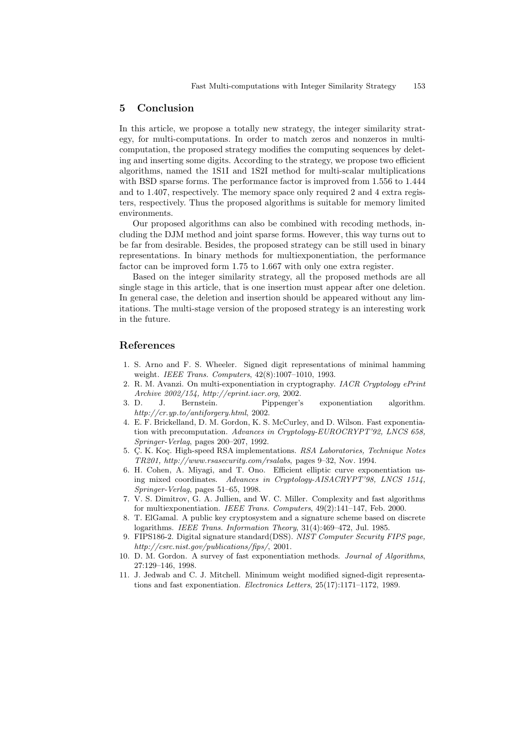#### 5 Conclusion

In this article, we propose a totally new strategy, the integer similarity strategy, for multi-computations. In order to match zeros and nonzeros in multicomputation, the proposed strategy modifies the computing sequences by deleting and inserting some digits. According to the strategy, we propose two efficient algorithms, named the 1S1I and 1S2I method for multi-scalar multiplications with BSD sparse forms. The performance factor is improved from 1.556 to 1.444 and to 1.407, respectively. The memory space only required 2 and 4 extra registers, respectively. Thus the proposed algorithms is suitable for memory limited environments.

Our proposed algorithms can also be combined with recoding methods, including the DJM method and joint sparse forms. However, this way turns out to be far from desirable. Besides, the proposed strategy can be still used in binary representations. In binary methods for multiexponentiation, the performance factor can be improved form 1.75 to 1.667 with only one extra register.

Based on the integer similarity strategy, all the proposed methods are all single stage in this article, that is one insertion must appear after one deletion. In general case, the deletion and insertion should be appeared without any limitations. The multi-stage version of the proposed strategy is an interesting work in the future.

#### References

- 1. S. Arno and F. S. Wheeler. Signed digit representations of minimal hamming weight. IEEE Trans. Computers, 42(8):1007–1010, 1993.
- 2. R. M. Avanzi. On multi-exponentiation in cryptography. IACR Cryptology ePrint Archive 2002/154, http://eprint.iacr.org, 2002.
- 3. D. J. Bernstein. Pippenger's exponentiation algorithm. http://cr.yp.to/antiforgery.html, 2002.
- 4. E. F. Brickelland, D. M. Gordon, K. S. McCurley, and D. Wilson. Fast exponentiation with precomputation. Advances in Cryptology-EUROCRYPT'92, LNCS 658, Springer-Verlag, pages 200–207, 1992.
- 5. Ç. K. Koç. High-speed RSA implementations. RSA Laboratories, Technique Notes TR201, http://www.rsasecurity.com/rsalabs, pages 9–32, Nov. 1994.
- 6. H. Cohen, A. Miyagi, and T. Ono. Efficient elliptic curve exponentiation using mixed coordinates. Advances in Cryptology-AISACRYPT'98, LNCS 1514, Springer-Verlag, pages 51–65, 1998.
- 7. V. S. Dimitrov, G. A. Jullien, and W. C. Miller. Complexity and fast algorithms for multiexponentiation. IEEE Trans. Computers, 49(2):141–147, Feb. 2000.
- 8. T. ElGamal. A public key cryptosystem and a signature scheme based on discrete logarithms. IEEE Trans. Information Theory, 31(4):469–472, Jul. 1985.
- 9. FIPS186-2. Digital signature standard(DSS). NIST Computer Security FIPS page, http://csrc.nist.gov/publications/fips/, 2001.
- 10. D. M. Gordon. A survey of fast exponentiation methods. Journal of Algorithms, 27:129–146, 1998.
- 11. J. Jedwab and C. J. Mitchell. Minimum weight modified signed-digit representations and fast exponentiation. Electronics Letters, 25(17):1171–1172, 1989.